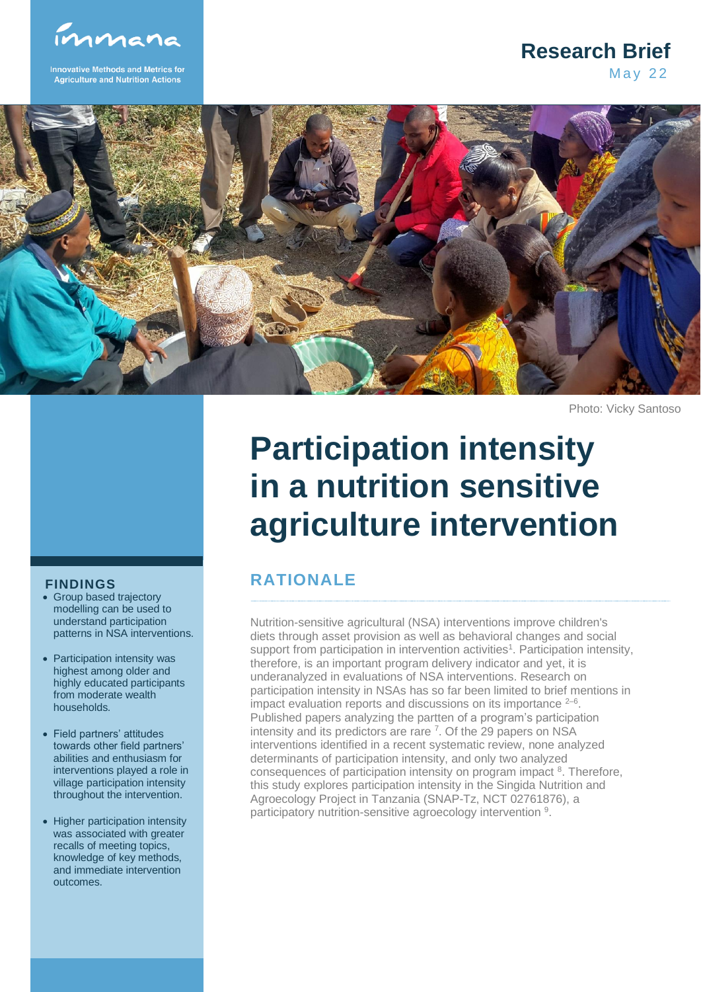immana

**Innovative Methods and Metrics for Agriculture and Nutrition Action** 

### **May 22 Research Brief**



Photo: Vicky Santoso

# **Participation intensity in a nutrition sensitive agriculture intervention**

# **RATIONALE**

Nutrition-sensitive agricultural (NSA) interventions improve children's diets through asset provision as well as behavioral changes and social support from participation in intervention activities<sup>1</sup>. Participation intensity, therefore, is an important program delivery indicator and yet, it is underanalyzed in evaluations of NSA interventions. Research on participation intensity in NSAs has so far been limited to brief mentions in impact evaluation reports and discussions on its importance  $2-6$ . Published papers analyzing the partten of a program's participation intensity and its predictors are rare <sup>7</sup>. Of the 29 papers on NSA interventions identified in a recent systematic review, none analyzed determinants of participation intensity, and only two analyzed consequences of participation intensity on program impact <sup>8</sup>. Therefore, this study explores participation intensity in the Singida Nutrition and Agroecology Project in Tanzania (SNAP-Tz, NCT 02761876), a participatory nutrition-sensitive agroecology intervention <sup>9</sup>.

#### **FINDINGS**

- Group based trajectory modelling can be used to understand participation patterns in NSA interventions.
- Participation intensity was highest among older and highly educated participants from moderate wealth households.
- Field partners' attitudes towards other field partners' abilities and enthusiasm for interventions played a role in village participation intensity throughout the intervention.
- Higher participation intensity was associated with greater recalls of meeting topics, knowledge of key methods, and immediate intervention outcomes.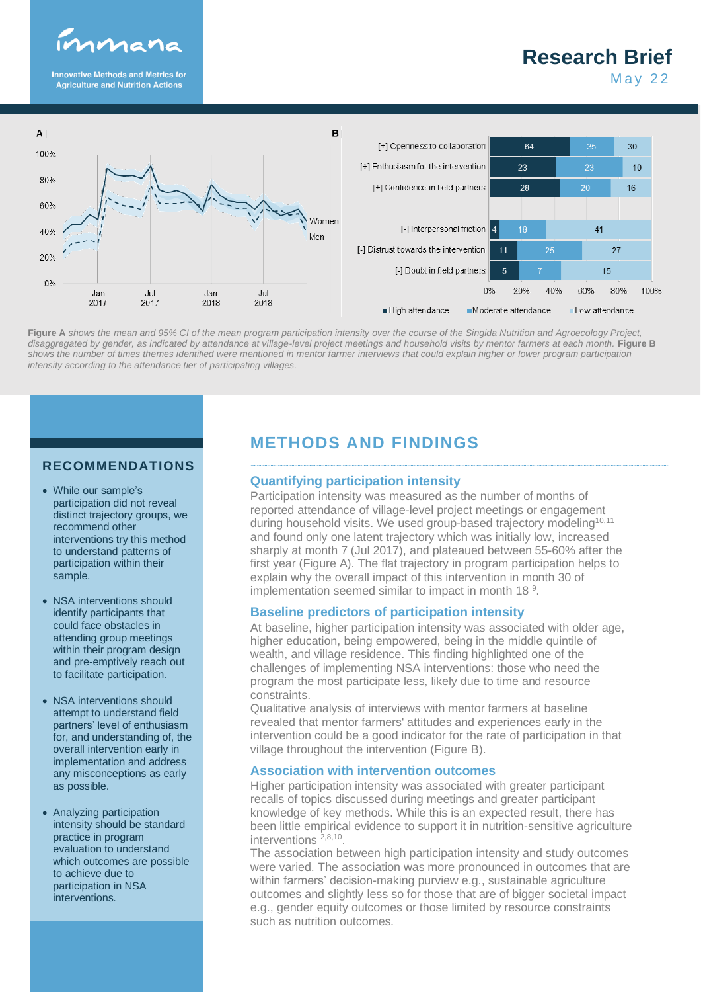

**Innovative Methods and Metrics for<br>Agriculture and Nutrition Actions** 

# **Research Brief**

**May 22** 



**Figure A** *shows the mean and 95% CI of the mean program participation intensity over the course of the Singida Nutrition and Agroecology Project, disaggregated by gender, as indicated by attendance at village-level project meetings and household visits by mentor farmers at each month. Figure B shows the number of times themes identified were mentioned in mentor farmer interviews that could explain higher or lower program participation intensity according to the attendance tier of participating villages.*

#### **RECOMMENDATIONS**

- While our sample's participation did not reveal distinct trajectory groups, we recommend other interventions try this method to understand patterns of participation within their sample.
- NSA interventions should identify participants that could face obstacles in attending group meetings within their program design and pre-emptively reach out to facilitate participation.
- NSA interventions should attempt to understand field partners' level of enthusiasm for, and understanding of, the overall intervention early in implementation and address any misconceptions as early as possible.
- Analyzing participation intensity should be standard practice in program evaluation to understand which outcomes are possible to achieve due to participation in NSA interventions.

# **METHODS AND FINDINGS**

#### **Quantifying participation intensity**

Participation intensity was measured as the number of months of reported attendance of village-level project meetings or engagement during household visits. We used group-based trajectory modeling<sup>10,11</sup> and found only one latent trajectory which was initially low, increased sharply at month 7 (Jul 2017), and plateaued between 55-60% after the first year (Figure A). The flat trajectory in program participation helps to explain why the overall impact of this intervention in month 30 of implementation seemed similar to impact in month 18<sup>9</sup>.

#### **Baseline predictors of participation intensity**

At baseline, higher participation intensity was associated with older age, higher education, being empowered, being in the middle quintile of wealth, and village residence. This finding highlighted one of the challenges of implementing NSA interventions: those who need the program the most participate less, likely due to time and resource constraints.

Qualitative analysis of interviews with mentor farmers at baseline revealed that mentor farmers' attitudes and experiences early in the intervention could be a good indicator for the rate of participation in that village throughout the intervention (Figure B).

#### **Association with intervention outcomes**

Higher participation intensity was associated with greater participant recalls of topics discussed during meetings and greater participant knowledge of key methods. While this is an expected result, there has been little empirical evidence to support it in nutrition-sensitive agriculture interventions 2,8,10 .

The association between high participation intensity and study outcomes were varied. The association was more pronounced in outcomes that are within farmers' decision-making purview e.g., sustainable agriculture outcomes and slightly less so for those that are of bigger societal impact e.g., gender equity outcomes or those limited by resource constraints such as nutrition outcomes.